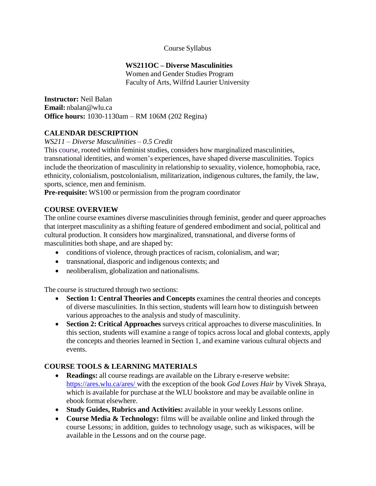#### Course Syllabus

#### **WS211OC – Diverse Masculinities**

Women and Gender Studies Program Faculty of Arts, Wilfrid Laurier University

**Instructor:** Neil Balan **Email:** [nbalan@wlu.ca](mailto:nbalan@wlu.ca) **Office hours:** 1030-1130am – RM 106M (202 Regina)

#### **CALENDAR DESCRIPTION**

*WS211 – Diverse Masculinities – 0.5 Credit*

This course, rooted within feminist studies, considers how marginalized masculinities, transnational identities, and women's experiences, have shaped diverse masculinities. Topics include the theorization of masculinity in relationship to sexuality, violence, homophobia, race, ethnicity, colonialism, postcolonialism, militarization, indigenous cultures, the family, the law, sports, science, men and feminism.

**Pre-requisite:** WS100 or permission from the program coordinator

#### **COURSE OVERVIEW**

The online course examines diverse masculinities through feminist, gender and queer approaches that interpret masculinity as a shifting feature of gendered embodiment and social, political and cultural production. It considers how marginalized, transnational, and diverse forms of masculinities both shape, and are shaped by:

- conditions of violence, through practices of racism, colonialism, and war;
- transnational, diasporic and indigenous contexts; and
- neoliberalism, globalization and nationalisms.

The course is structured through two sections:

- **Section 1: Central Theories and Concepts** examines the central theories and concepts of diverse masculinities. In this section, students will learn how to distinguish between various approaches to the analysis and study of masculinity.
- **Section 2: Critical Approaches** surveys critical approaches to diverse masculinities. In this section, students will examine a range of topics across local and global contexts, apply the concepts and theories learned in Section 1, and examine various cultural objects and events.

#### **COURSE TOOLS & LEARNING MATERIALS**

- **Readings:** all course readings are available on the Library e-reserve website: https://ares.wlu.ca/ares/ with the exception of the book *God Loves Hair* by Vivek Shraya, which is available for purchase at the WLU bookstore and may be available online in ebook format elsewhere.
- **Study Guides, Rubrics and Activities:** available in your weekly Lessons online.
- **Course Media & Technology:** films will be available online and linked through the course Lessons; in addition, guides to technology usage, such as wikispaces, will be available in the Lessons and on the course page.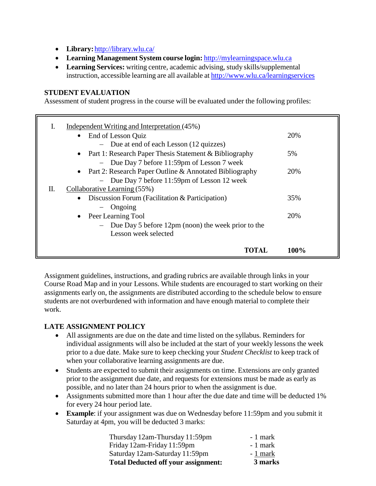- **Library:**<http://library.wlu.ca/>
- **Learning Management System course login:** [http://mylearningspace.wlu.ca](http://mylearningspace.wlu.ca/)
- **Learning Services:** writing centre, academic advising, study skills/supplemental instruction, accessible learning are all available at <http://www.wlu.ca/learningservices>

#### **STUDENT EVALUATION**

Assessment of student progress in the course will be evaluated under the following profiles:

| I. | Independent Writing and Interpretation (45%)                  |            |
|----|---------------------------------------------------------------|------------|
|    | End of Lesson Quiz<br>$\bullet$                               | 20%        |
|    | - Due at end of each Lesson (12 quizzes)                      |            |
|    | • Part 1: Research Paper Thesis Statement & Bibliography      | 5%         |
|    | - Due Day 7 before 11:59pm of Lesson 7 week                   |            |
|    | • Part 2: Research Paper Outline $&$ Annotated Bibliography   | <b>20%</b> |
|    | - Due Day 7 before 11:59pm of Lesson 12 week                  |            |
| П. | Collaborative Learning (55%)                                  |            |
|    | Discussion Forum (Facilitation & Participation)<br>$\bullet$  | 35%        |
|    | $-$ Ongoing                                                   |            |
|    | Peer Learning Tool<br>$\bullet$                               | 20%        |
|    | - Due Day 5 before $12\text{pm}$ (noon) the week prior to the |            |
|    | Lesson week selected                                          |            |
|    |                                                               |            |
|    | <b>TOTAL</b>                                                  | $100\%$    |

Assignment guidelines, instructions, and grading rubrics are available through links in your Course Road Map and in your Lessons. While students are encouraged to start working on their assignments early on, the assignments are distributed according to the schedule below to ensure students are not overburdened with information and have enough material to complete their work.

# **LATE ASSIGNMENT POLICY**

- All assignments are due on the date and time listed on the syllabus. Reminders for individual assignments will also be included at the start of your weekly lessons the week prior to a due date. Make sure to keep checking your *Student Checklist* to keep track of when your collaborative learning assignments are due.
- Students are expected to submit their assignments on time. Extensions are only granted prior to the assignment due date, and requests for extensions must be made as early as possible, and no later than 24 hours prior to when the assignment is due.
- Assignments submitted more than 1 hour after the due date and time will be deducted 1% for every 24 hour period late.
- **Example**: if your assignment was due on Wednesday before 11:59pm and you submit it Saturday at 4pm, you will be deducted 3 marks:

| <b>Total Deducted off your assignment:</b> | 3 marks   |
|--------------------------------------------|-----------|
| Saturday 12am-Saturday 11:59pm             | - 1 mark  |
| Friday 12am-Friday 11:59pm                 | $-1$ mark |
| Thursday 12am-Thursday 11:59pm             | $-1$ mark |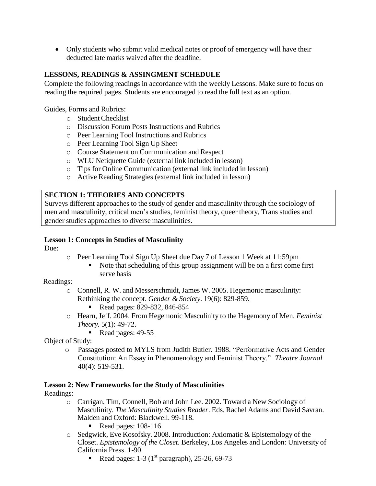Only students who submit valid medical notes or proof of emergency will have their deducted late marks waived after the deadline.

### **LESSONS, READINGS & ASSINGMENT SCHEDULE**

Complete the following readings in accordance with the weekly Lessons. Make sure to focus on reading the required pages. Students are encouraged to read the full text as an option.

Guides, Forms and Rubrics:

- o StudentChecklist
- o Discussion Forum Posts Instructions and Rubrics
- o Peer Learning Tool Instructions and Rubrics
- o Peer Learning Tool Sign Up Sheet
- o Course Statement on Communication and Respect
- o WLU Netiquette Guide (external link included in lesson)
- o Tips for Online Communication (external link included in lesson)
- o Active Reading Strategies (external link included in lesson)

#### **SECTION 1: THEORIES AND CONCEPTS**

Surveys different approaches to the study of gender and masculinity through the sociology of men and masculinity, critical men's studies, feminist theory, queer theory, Trans studies and gender studies approaches to diverse masculinities.

#### **Lesson 1: Concepts in Studies of Masculinity**

Due:

- o Peer Learning Tool Sign Up Sheet due Day 7 of Lesson 1 Week at 11:59pm
	- Note that scheduling of this group assignment will be on a first come first serve basis

#### Readings:

- o Connell, R. W. and Messerschmidt, James W. 2005. Hegemonic masculinity: Rethinking the concept. *Gender & Society*. 19(6): 829-859.
	- Read pages: 829-832, 846-854
- o Hearn, Jeff. 2004. From Hegemonic Masculinity to the Hegemony of Men. *Feminist Theory.* 5(1): 49-72.
	- Read pages:  $49-55$

Object of Study:

o Passages posted to MYLS from Judith Butler. 1988. "Performative Acts and Gender Constitution: An Essay in Phenomenology and Feminist Theory." *Theatre Journal* 40(4): 519-531.

#### **Lesson 2: New Frameworks for the Study of Masculinities**

Readings:

- o Carrigan, Tim, Connell, Bob and John Lee. 2002. Toward a New Sociology of Masculinity. *The Masculinity Studies Reader*. Eds. Rachel Adams and David Savran. Malden and Oxford: Blackwell. 99-118.
	- Read pages:  $108-116$
- o Sedgwick, Eve Kosofsky. 2008. Introduction: Axiomatic & Epistemology of the Closet. *Epistemology of the Closet*. Berkeley, Los Angeles and London: University of California Press. 1-90.
	- Read pages:  $1-3$  (1<sup>st</sup> paragraph), 25-26, 69-73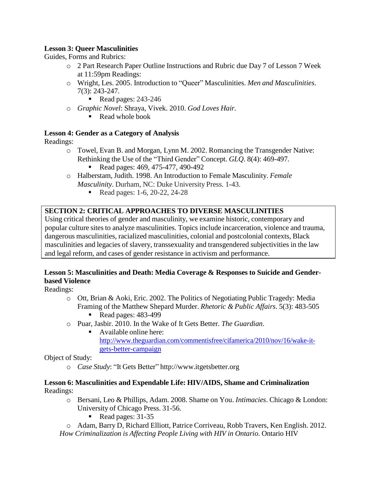## **Lesson 3: Queer Masculinities**

Guides, Forms and Rubrics:

- o 2 Part Research Paper Outline Instructions and Rubric due Day 7 of Lesson 7 Week at 11:59pm Readings:
- o Wright, Les. 2005. Introduction to "Queer" Masculinities. *Men and Masculinities*. 7(3): 243-247.
	- Read pages:  $243-246$
- o *Graphic Novel*: Shraya, Vivek. 2010. *God Loves Hair.*
	- $\blacksquare$  Read whole book

#### **Lesson 4: Gender as a Category of Analysis**

Readings:

- o Towel, Evan B. and Morgan, Lynn M. 2002. Romancing the Transgender Native: Rethinking the Use of the "Third Gender" Concept. *GLQ*. 8(4): 469-497.
	- Read pages: 469, 475-477, 490-492
- o Halberstam, Judith. 1998. An Introduction to Female Masculinity. *Female Masculinity*. Durham, NC: Duke University Press. 1-43.
	- Read pages: 1-6, 20-22, 24-28

# **SECTION 2: CRITICAL APPROACHES TO DIVERSE MASCULINITIES**

Using critical theories of gender and masculinity, we examine historic, contemporary and popular culture sites to analyze masculinities. Topics include incarceration, violence and trauma, dangerous masculinities, racialized masculinities, colonial and postcolonial contexts, Black masculinities and legacies of slavery, transsexuality and transgendered subjectivities in the law and legal reform, and cases of gender resistance in activism and performance.

## **Lesson 5: Masculinities and Death: Media Coverage & Responses to Suicide and Genderbased Violence**

Readings:

- o Ott, Brian & Aoki, Eric. 2002. The Politics of Negotiating Public Tragedy: Media Framing of the Matthew Shepard Murder. *Rhetoric & Public Affairs*. 5(3): 483-505
	- Read pages:  $483-499$
- o Puar, Jasbir. 2010. In the Wake of It Gets Better. *The Guardian*.
	- Available online here: [http://www.theguardian.com/commentisfree/cifamerica/2010/nov/16/wake-it](http://www.theguardian.com/commentisfree/cifamerica/2010/nov/16/wake-it-)gets-better-campaign

Object of Study:

o *Case Study*: "It Gets Better" [http://www.itgetsbetter.org](http://www.itgetsbetter.org/)

#### **Lesson 6: Masculinities and Expendable Life: HIV/AIDS, Shame and Criminalization** Readings:

- o Bersani, Leo & Phillips, Adam. 2008. Shame on You. *Intimacies*. Chicago & London: University of Chicago Press. 31-56.
	- Read pages:  $31-35$

o Adam, Barry D, Richard Elliott, Patrice Corriveau, Robb Travers, Ken English. 2012. *How Criminalization is Affecting People Living with HIV in Ontario*. Ontario HIV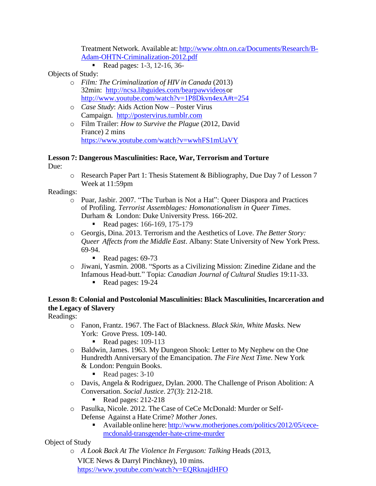Treatment Network. Available at: <http://www.ohtn.on.ca/Documents/Research/B->Adam-OHTN-Criminalization-2012.pdf

Read pages: 1-3, 12-16, 36-

Objects of Study:

- o *Film: The Criminalization of HIV in Canada* (2013) 32min: [http://ncsa.libguides.com/bearpawvideoso](http://ncsa.libguides.com/bearpawvideos)r [http://www.youtube.com/watch?v=1P8Dkvn4exA#t=254](http://www.youtube.com/watch?v=1P8Dkvn4exA&amp%3Bt=254)
- o *Case Study*: Aids Action Now Poster Virus Campaign. [http://postervirus.tumblr.com](http://postervirus.tumblr.com/)
- o Film Trailer: *How to Survive the Plague* (2012, David France) 2 mins <https://www.youtube.com/watch?v=wwhFS1mUaVY>

#### **Lesson 7: Dangerous Masculinities: Race, War, Terrorism and Torture**

Due:

o Research Paper Part 1: Thesis Statement & Bibliography, Due Day 7 of Lesson 7 Week at 11:59pm

#### Readings:

- o Puar, Jasbir. 2007. "The Turban is Not a Hat": Queer Diaspora and Practices of Profiling. *Terrorist Assemblages: Homonationalism in Queer Times*. Durham & London: Duke University Press. 166-202.
	- Read pages: 166-169, 175-179
- o Georgis, Dina. 2013. Terrorism and the Aesthetics of Love. *The Better Story: Queer Affects from the Middle East*. Albany: State University of New York Press. 69-94.
	- Read pages:  $69-73$
- o Jiwani, Yasmin. 2008. "Sports as a Civilizing Mission: Zinedine Zidane and the Infamous Head-butt." Topia: *Canadian Journal of Cultural Studies* 19:11-33.
	- Read pages: 19-24

## **Lesson 8: Colonial and Postcolonial Masculinities: Black Masculinities, Incarceration and the Legacy of Slavery**

Readings:

- o Fanon, Frantz. 1967. The Fact of Blackness. *Black Skin, White Masks.* New York: Grove Press. 109-140.
	- Read pages:  $109-113$
- o Baldwin, James. 1963. My Dungeon Shook: Letter to My Nephew on the One Hundredth Anniversary of the Emancipation. *The Fire Next Time*. New York & London: Penguin Books.
	- Read pages:  $3-10$
- o Davis, Angela & Rodriguez, Dylan. 2000. The Challenge of Prison Abolition: A Conversation. *Social Justice*. 27(3): 212-218.
	- Read pages:  $212-218$
- o Pasulka, Nicole. 2012. The Case of CeCe McDonald: Murder or Self-Defense Against a Hate Crime? *Mother Jones*.
	- Available online here: [http://www.motherjones.com/politics/2012/05/cece](http://www.motherjones.com/politics/2012/05/cece-)mcdonald-transgender-hate-crime-murder

#### Object of Study

o *A Look Back At The Violence In Ferguson: Talking* Heads (2013,

VICE News & Darryl Pinchkney), 10 mins.

<https://www.youtube.com/watch?v=EQRknajdHFO>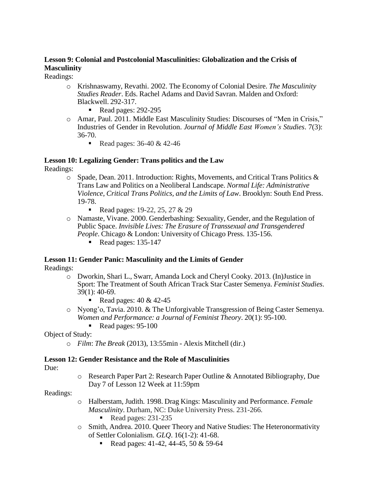## **Lesson 9: Colonial and Postcolonial Masculinities: Globalization and the Crisis of Masculinity**

Readings:

- o Krishnaswamy, Revathi. 2002. The Economy of Colonial Desire. *The Masculinity Studies Reader*. Eds. Rachel Adams and David Savran. Malden and Oxford: Blackwell. 292-317.
	- Read pages:  $292-295$
- o Amar, Paul. 2011. Middle East Masculinity Studies: Discourses of "Men in Crisis," Industries of Gender in Revolution. *Journal of Middle East Women's Studies*. 7(3): 36-70.
	- Read pages:  $36-40 & 42-46$

# **Lesson 10: Legalizing Gender: Trans politics and the Law**

Readings:

- o Spade, Dean. 2011. Introduction: Rights, Movements, and Critical Trans Politics & Trans Law and Politics on a Neoliberal Landscape. *Normal Life: Administrative Violence, Critical Trans Politics, and the Limits of Law*. Brooklyn: South End Press. 19-78.
	- Read pages:  $19-22$ ,  $25$ ,  $27 & 29$
- o Namaste, Vivane. 2000. Genderbashing: Sexuality, Gender, and the Regulation of Public Space. *Invisible Lives: The Erasure of Transsexual and Transgendered People*. Chicago & London: University of Chicago Press. 135-156.
	- Read pages:  $135-147$

#### **Lesson 11: Gender Panic: Masculinity and the Limits of Gender**

Readings:

- o Dworkin, Shari L., Swarr, Amanda Lock and Cheryl Cooky. 2013. (In)Justice in Sport: The Treatment of South African Track Star Caster Semenya. *Feminist Studies*. 39(1): 40-69.
	- Read pages:  $40 \& 42-45$
- o Nyong'o, Tavia. 2010. & The Unforgivable Transgression of Being Caster Semenya. *Women and Performance: a Journal of Feminist Theory*. 20(1): 95-100.
	- Read pages:  $95-100$

#### Object of Study:

o *Film*: *The Break* (2013), 13:55min - Alexis Mitchell (dir.)

#### **Lesson 12: Gender Resistance and the Role of Masculinities**

Due:

o Research Paper Part 2: Research Paper Outline & Annotated Bibliography, Due Day 7 of Lesson 12 Week at 11:59pm

Readings:

- o Halberstam, Judith. 1998. Drag Kings: Masculinity and Performance. *Female Masculinity*. Durham, NC: Duke University Press. 231-266.
	- Read pages: 231-235
- o Smith, Andrea. 2010. Queer Theory and Native Studies: The Heteronormativity of Settler Colonialism. *GLQ*. 16(1-2): 41-68.
	- Read pages:  $41-42$ ,  $44-45$ ,  $50 & 59-64$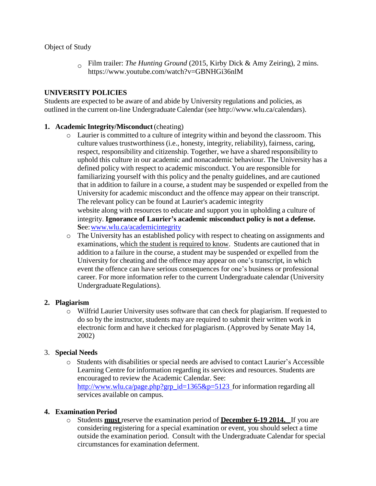Object of Study

o Film trailer: *The Hunting Ground* (2015, Kirby Dick & Amy Zeiring), 2 mins[.](http://www.youtube.com/watch?v=GBNHGi36nlM) [https://www.youtube.com/watch?v=GBNHGi36nlM](http://www.youtube.com/watch?v=GBNHGi36nlM)

## **UNIVERSITY POLICIES**

Students are expected to be aware of and abide by University regulations and policies, as outlined in the current on-line Undergraduate Calendar (see [http://www.wlu.ca/calendars\).](http://www.wlu.ca/calendars))

#### **1. Academic Integrity/Misconduct**(cheating)

- o Laurier is committed to a culture of integrity within and beyond the classroom. This culture values trustworthiness (i.e., honesty, integrity, reliability), fairness, caring, respect, responsibility and citizenship. Together, we have a shared responsibility to uphold this culture in our academic and nonacademic behaviour. The University has a defined policy with respect to academic misconduct. You are responsible for familiarizing yourself with this policy and the penalty guidelines, and are cautioned that in addition to failure in a course, a student may be suspended or expelled from the University for academic misconduct and the offence may appear on their transcript. The relevant policy can be found at Laurier's academic integrity website along with resources to educate and support you in upholding a culture of integrity. **Ignorance of Laurier's academic misconduct policy is not a defense. S**ee[:www.wlu.ca/academicintegrity](http://www.wlu.ca/academicintegrity)
- o The University has an established policy with respect to cheating on assignments and examinations, which the student is required to know. Students are cautioned that in addition to a failure in the course, a student may be suspended or expelled from the University for cheating and the offence may appear on one's transcript, in which event the offence can have serious consequences for one's business or professional career. For more information refer to the current Undergraduate calendar (University Undergraduate Regulations).

#### **2. Plagiarism**

o Wilfrid Laurier University uses software that can check for plagiarism. If requested to do so by the instructor, students may are required to submit their written work in electronic form and have it checked for plagiarism. (Approved by Senate May 14, 2002)

#### 3. **Special Needs**

o Students with disabilities or special needs are advised to contact Laurier's Accessible Learning Centre for information regarding its services and resources. Students are encouraged to review the Academic Calendar. See: [http://www.wlu.ca/page.php?grp\\_id=1365&p=5123](http://www.wlu.ca/page.php?grp_id=1365&amp%3Bp=5123) for information regarding all services available on campus.

#### **4. Examination Period**

o Students **must** reserve the examination period of **December 6-19 2014.** If you are considering registering for a special examination or event, you should select a time outside the examination period. Consult with the Undergraduate Calendar for special circumstances for examination deferment.